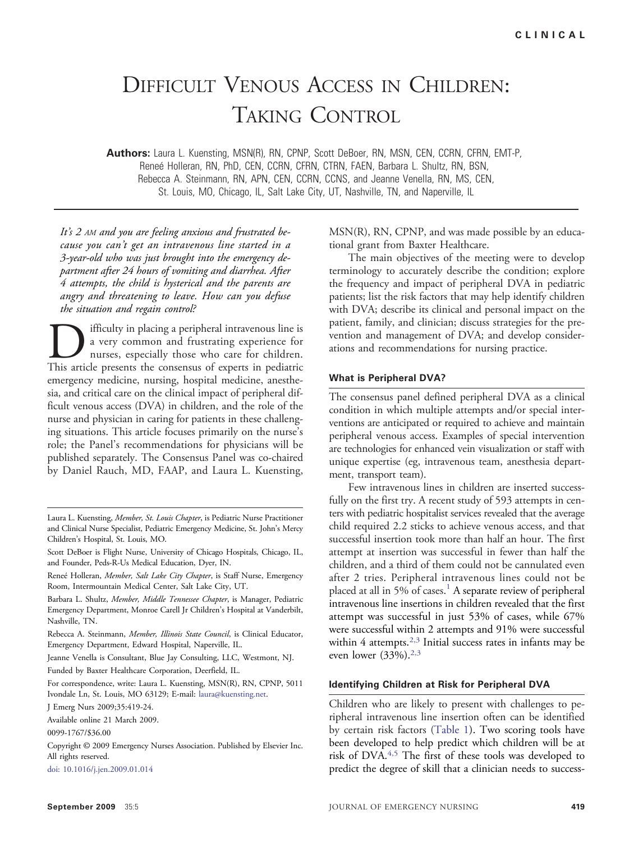# DIFFICULT VENOUS ACCESS IN CHILDREN: TAKING CONTROL

**Authors:** Laura L. Kuensting, MSN(R), RN, CPNP, Scott DeBoer, RN, MSN, CEN, CCRN, CFRN, EMT-P, Reneé Holleran, RN, PhD, CEN, CCRN, CFRN, CTRN, FAEN, Barbara L. Shultz, RN, BSN, Rebecca A. Steinmann, RN, APN, CEN, CCRN, CCNS, and Jeanne Venella, RN, MS, CEN, St. Louis, MO, Chicago, IL, Salt Lake City, UT, Nashville, TN, and Naperville, IL

It's 2 AM and you are feeling anxious and frustrated because you can't get an intravenous line started in a 3-year-old who was just brought into the emergency department after 24 hours of vomiting and diarrhea. After 4 attempts, the child is hysterical and the parents are angry and threatening to leave. How can you defuse the situation and regain control?

ifficulty in placing a peripheral intravenous line is a very common and frustrating experience for nurses, especially those who care for children. This article presents the consensus of experts in pediatric emergency medicine, nursing, hospital medicine, anesthesia, and critical care on the clinical impact of peripheral difficult venous access (DVA) in children, and the role of the nurse and physician in caring for patients in these challenging situations. This article focuses primarily on the nurse's role; the Panel's recommendations for physicians will be published separately. The Consensus Panel was co-chaired by Daniel Rauch, MD, FAAP, and Laura L. Kuensting,

Reneé Holleran, Member, Salt Lake City Chapter, is Staff Nurse, Emergency Room, Intermountain Medical Center, Salt Lake City, UT.

Barbara L. Shultz, Member, Middle Tennessee Chapter, is Manager, Pediatric Emergency Department, Monroe Carell Jr Children's Hospital at Vanderbilt, Nashville, TN.

Rebecca A. Steinmann, Member, Illinois State Council, is Clinical Educator, Emergency Department, Edward Hospital, Naperville, IL.

Jeanne Venella is Consultant, Blue Jay Consulting, LLC, Westmont, NJ. Funded by Baxter Healthcare Corporation, Deerfield, IL.

For correspondence, write: Laura L. Kuensting, MSN(R), RN, CPNP, 5011 Ivondale Ln, St. Louis, MO 63129; E-mail: [laura@kuensting.net.](mailto:laura@kuensting.net)

J Emerg Nurs 2009;35:419-24.

Available online 21 March 2009.

0099-1767/\$36.00

Copyright © 2009 Emergency Nurses Association. Published by Elsevier Inc. All rights reserved.

[doi: 10.1016/j.jen.2009.01.014](http://dx.doi.org/10.1016/j.jen.2009.01.014)

MSN(R), RN, CPNP, and was made possible by an educational grant from Baxter Healthcare.

The main objectives of the meeting were to develop terminology to accurately describe the condition; explore the frequency and impact of peripheral DVA in pediatric patients; list the risk factors that may help identify children with DVA; describe its clinical and personal impact on the patient, family, and clinician; discuss strategies for the prevention and management of DVA; and develop considerations and recommendations for nursing practice.

# What is Peripheral DVA?

The consensus panel defined peripheral DVA as a clinical condition in which multiple attempts and/or special interventions are anticipated or required to achieve and maintain peripheral venous access. Examples of special intervention are technologies for enhanced vein visualization or staff with unique expertise (eg, intravenous team, anesthesia department, transport team).

Few intravenous lines in children are inserted successfully on the first try. A recent study of 593 attempts in centers with pediatric hospitalist services revealed that the average child required 2.2 sticks to achieve venous access, and that successful insertion took more than half an hour. The first attempt at insertion was successful in fewer than half the children, and a third of them could not be cannulated even after 2 tries. Peripheral intravenous lines could not be placed at all in 5% of cases.<sup>[1](#page-4-0)</sup> A separate review of peripheral intravenous line insertions in children revealed that the first attempt was successful in just 53% of cases, while 67% were successful within 2 attempts and 91% were successful within  $4$  attempts.<sup>[2,3](#page-4-0)</sup> Initial success rates in infants may be even lower (33%)[.2,3](#page-4-0)

# Identifying Children at Risk for Peripheral DVA

Children who are likely to present with challenges to peripheral intravenous line insertion often can be identified by certain risk factors ([Table 1](#page-1-0)). Two scoring tools have been developed to help predict which children will be at risk of DVA.[4,5](#page-4-0) The first of these tools was developed to predict the degree of skill that a clinician needs to success-

Laura L. Kuensting, Member, St. Louis Chapter, is Pediatric Nurse Practitioner and Clinical Nurse Specialist, Pediatric Emergency Medicine, St. John's Mercy Children's Hospital, St. Louis, MO.

Scott DeBoer is Flight Nurse, University of Chicago Hospitals, Chicago, IL, and Founder, Peds-R-Us Medical Education, Dyer, IN.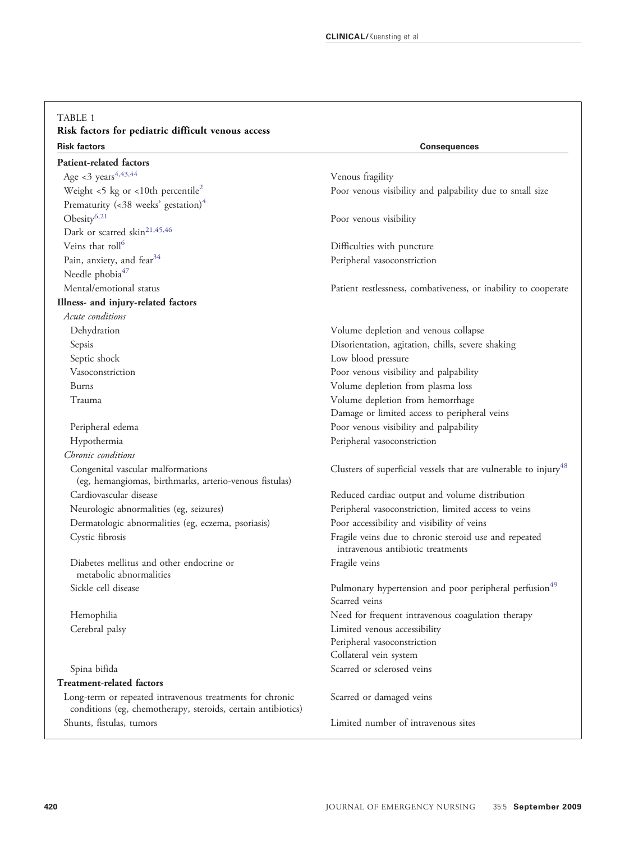| <b>Risk factors</b>                                                                                                      | <b>Consequences</b>                                                                        |
|--------------------------------------------------------------------------------------------------------------------------|--------------------------------------------------------------------------------------------|
| <b>Patient-related factors</b>                                                                                           |                                                                                            |
| Age $<$ 3 years <sup>4,43,44</sup>                                                                                       | Venous fragility                                                                           |
| Weight <5 kg or <10th percentile <sup>2</sup>                                                                            | Poor venous visibility and palpability due to small size                                   |
| Prematurity (<38 weeks' gestation) <sup>4</sup>                                                                          |                                                                                            |
| Obesity <sup>6,21</sup>                                                                                                  | Poor venous visibility                                                                     |
| Dark or scarred skin <sup>21,45,46</sup>                                                                                 |                                                                                            |
| Veins that roll <sup>6</sup>                                                                                             | Difficulties with puncture                                                                 |
| Pain, anxiety, and fear <sup>34</sup>                                                                                    | Peripheral vasoconstriction                                                                |
| Needle phobia <sup>47</sup>                                                                                              |                                                                                            |
| Mental/emotional status                                                                                                  | Patient restlessness, combativeness, or inability to cooperate                             |
| Illness- and injury-related factors                                                                                      |                                                                                            |
| Acute conditions                                                                                                         |                                                                                            |
| Dehydration                                                                                                              | Volume depletion and venous collapse                                                       |
| Sepsis                                                                                                                   | Disorientation, agitation, chills, severe shaking                                          |
| Septic shock                                                                                                             | Low blood pressure                                                                         |
| Vasoconstriction                                                                                                         | Poor venous visibility and palpability                                                     |
| Burns                                                                                                                    | Volume depletion from plasma loss                                                          |
| Trauma                                                                                                                   | Volume depletion from hemorrhage                                                           |
|                                                                                                                          | Damage or limited access to peripheral veins                                               |
| Peripheral edema                                                                                                         | Poor venous visibility and palpability                                                     |
| Hypothermia                                                                                                              | Peripheral vasoconstriction                                                                |
| Chronic conditions                                                                                                       |                                                                                            |
| Congenital vascular malformations                                                                                        | Clusters of superficial vessels that are vulnerable to injury <sup>48</sup>                |
| (eg, hemangiomas, birthmarks, arterio-venous fistulas)                                                                   |                                                                                            |
| Cardiovascular disease                                                                                                   | Reduced cardiac output and volume distribution                                             |
| Neurologic abnormalities (eg, seizures)                                                                                  | Peripheral vasoconstriction, limited access to veins                                       |
| Dermatologic abnormalities (eg, eczema, psoriasis)                                                                       | Poor accessibility and visibility of veins                                                 |
| Cystic fibrosis                                                                                                          | Fragile veins due to chronic steroid use and repeated<br>intravenous antibiotic treatments |
| Diabetes mellitus and other endocrine or<br>metabolic abnormalities                                                      | Fragile veins                                                                              |
| Sickle cell disease                                                                                                      | Pulmonary hypertension and poor peripheral perfusion <sup>49</sup><br>Scarred veins        |
| Hemophilia                                                                                                               | Need for frequent intravenous coagulation therapy                                          |
| Cerebral palsy                                                                                                           | Limited venous accessibility                                                               |
|                                                                                                                          | Peripheral vasoconstriction                                                                |
|                                                                                                                          | Collateral vein system                                                                     |
| Spina bifida                                                                                                             | Scarred or sclerosed veins                                                                 |
| <b>Treatment-related factors</b>                                                                                         |                                                                                            |
| Long-term or repeated intravenous treatments for chronic<br>conditions (eg, chemotherapy, steroids, certain antibiotics) | Scarred or damaged veins                                                                   |
| Shunts, fistulas, tumors                                                                                                 | Limited number of intravenous sites                                                        |
|                                                                                                                          |                                                                                            |

<span id="page-1-0"></span>TABLE 1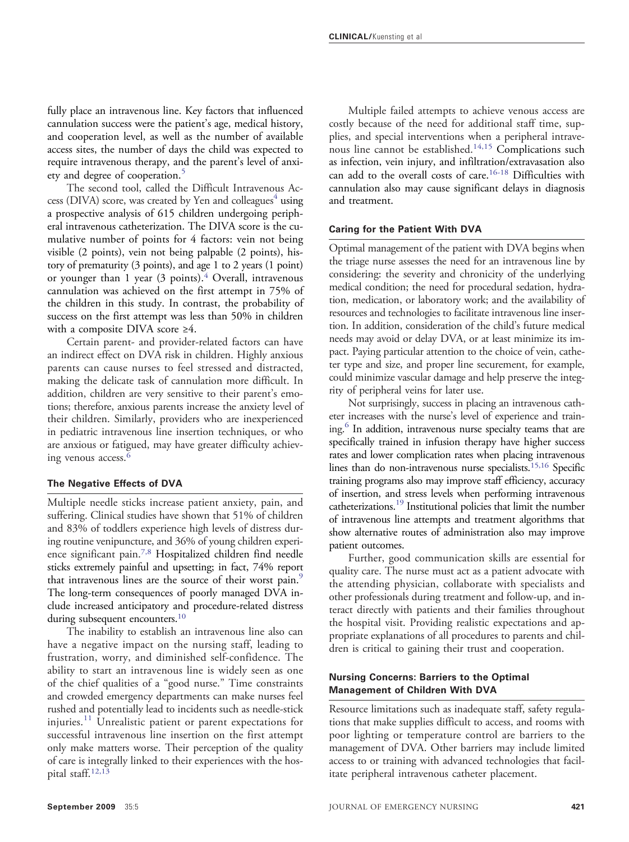fully place an intravenous line. Key factors that influenced cannulation success were the patient's age, medical history, and cooperation level, as well as the number of available access sites, the number of days the child was expected to require intravenous therapy, and the parent's level of anxi-ety and degree of cooperation.<sup>[5](#page-4-0)</sup>

The second tool, called the Difficult Intravenous Access (DIVA) score, was created by Yen and colleagues $4$  using a prospective analysis of 615 children undergoing peripheral intravenous catheterization. The DIVA score is the cumulative number of points for 4 factors: vein not being visible (2 points), vein not being palpable (2 points), history of prematurity (3 points), and age 1 to 2 years (1 point) or younger than 1 year  $(3 \text{ points})$ .<sup>[4](#page-4-0)</sup> Overall, intravenous cannulation was achieved on the first attempt in 75% of the children in this study. In contrast, the probability of success on the first attempt was less than 50% in children with a composite DIVA score ≥4.

Certain parent- and provider-related factors can have an indirect effect on DVA risk in children. Highly anxious parents can cause nurses to feel stressed and distracted, making the delicate task of cannulation more difficult. In addition, children are very sensitive to their parent's emotions; therefore, anxious parents increase the anxiety level of their children. Similarly, providers who are inexperienced in pediatric intravenous line insertion techniques, or who are anxious or fatigued, may have greater difficulty achieving venous access.[6](#page-4-0)

# The Negative Effects of DVA

Multiple needle sticks increase patient anxiety, pain, and suffering. Clinical studies have shown that 51% of children and 83% of toddlers experience high levels of distress during routine venipuncture, and 36% of young children experience significant pain[.7](#page-4-0),[8](#page-4-0) Hospitalized children find needle sticks extremely painful and upsetting; in fact, 74% report that intravenous lines are the source of their worst pain.<sup>9</sup> The long-term consequences of poorly managed DVA include increased anticipatory and procedure-related distress during subsequent encounters.<sup>10</sup>

The inability to establish an intravenous line also can have a negative impact on the nursing staff, leading to frustration, worry, and diminished self-confidence. The ability to start an intravenous line is widely seen as one of the chief qualities of a "good nurse." Time constraints and crowded emergency departments can make nurses feel rushed and potentially lead to incidents such as needle-stick injuries.<sup>[11](#page-4-0)</sup> Unrealistic patient or parent expectations for successful intravenous line insertion on the first attempt only make matters worse. Their perception of the quality of care is integrally linked to their experiences with the hospital staff.[12,13](#page-5-0)

Multiple failed attempts to achieve venous access are costly because of the need for additional staff time, supplies, and special interventions when a peripheral intrave-nous line cannot be established.<sup>[14,15](#page-5-0)</sup> Complications such as infection, vein injury, and infiltration/extravasation also can add to the overall costs of care.<sup>[16-18](#page-5-0)</sup> Difficulties with cannulation also may cause significant delays in diagnosis and treatment.

#### Caring for the Patient With DVA

Optimal management of the patient with DVA begins when the triage nurse assesses the need for an intravenous line by considering: the severity and chronicity of the underlying medical condition; the need for procedural sedation, hydration, medication, or laboratory work; and the availability of resources and technologies to facilitate intravenous line insertion. In addition, consideration of the child's future medical needs may avoid or delay DVA, or at least minimize its impact. Paying particular attention to the choice of vein, catheter type and size, and proper line securement, for example, could minimize vascular damage and help preserve the integrity of peripheral veins for later use.

Not surprisingly, success in placing an intravenous catheter increases with the nurse's level of experience and train-ing.<sup>[6](#page-4-0)</sup> In addition, intravenous nurse specialty teams that are specifically trained in infusion therapy have higher success rates and lower complication rates when placing intravenous lines than do non-intravenous nurse specialists.[15,16](#page-5-0) Specific training programs also may improve staff efficiency, accuracy of insertion, and stress levels when performing intravenous catheterizations.<sup>19</sup> Institutional policies that limit the number of intravenous line attempts and treatment algorithms that show alternative routes of administration also may improve patient outcomes.

Further, good communication skills are essential for quality care. The nurse must act as a patient advocate with the attending physician, collaborate with specialists and other professionals during treatment and follow-up, and interact directly with patients and their families throughout the hospital visit. Providing realistic expectations and appropriate explanations of all procedures to parents and children is critical to gaining their trust and cooperation.

# Nursing Concerns: Barriers to the Optimal Management of Children With DVA

Resource limitations such as inadequate staff, safety regulations that make supplies difficult to access, and rooms with poor lighting or temperature control are barriers to the management of DVA. Other barriers may include limited access to or training with advanced technologies that facilitate peripheral intravenous catheter placement.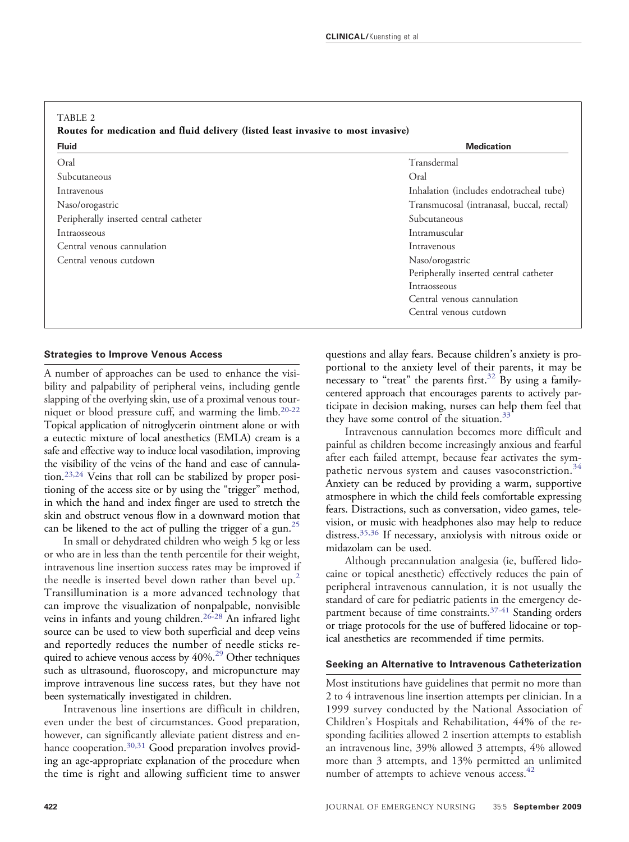| <b>Fluid</b>                           | <b>Medication</b>                         |
|----------------------------------------|-------------------------------------------|
| Oral                                   | Transdermal                               |
| Subcutaneous                           | Oral                                      |
| Intravenous                            | Inhalation (includes endotracheal tube)   |
| Naso/orogastric                        | Transmucosal (intranasal, buccal, rectal) |
| Peripherally inserted central catheter | Subcutaneous                              |
| Intraosseous                           | Intramuscular                             |
| Central venous cannulation             | Intravenous                               |
| Central venous cutdown                 | Naso/orogastric                           |
|                                        | Peripherally inserted central catheter    |
|                                        | Intraosseous                              |
|                                        | Central venous cannulation                |
|                                        | Central venous cutdown                    |

# <span id="page-3-0"></span>TARIE 2

# Strategies to Improve Venous Access

A number of approaches can be used to enhance the visibility and palpability of peripheral veins, including gentle slapping of the overlying skin, use of a proximal venous tourniquet or blood pressure cuff, and warming the limb[.20-22](#page-5-0) Topical application of nitroglycerin ointment alone or with a eutectic mixture of local anesthetics (EMLA) cream is a safe and effective way to induce local vasodilation, improving the visibility of the veins of the hand and ease of cannulation.[23,24](#page-5-0) Veins that roll can be stabilized by proper positioning of the access site or by using the "trigger" method, in which the hand and index finger are used to stretch the skin and obstruct venous flow in a downward motion that can be likened to the act of pulling the trigger of a gun.<sup>[25](#page-5-0)</sup>

In small or dehydrated children who weigh 5 kg or less or who are in less than the tenth percentile for their weight, intravenous line insertion success rates may be improved if the needle is inserted bevel down rather than bevel up.<sup>2</sup> Transillumination is a more advanced technology that can improve the visualization of nonpalpable, nonvisible veins in infants and young children.<sup>[26-28](#page-5-0)</sup> An infrared light source can be used to view both superficial and deep veins and reportedly reduces the number of needle sticks required to achieve venous access by 40%.<sup>29</sup> Other techniques such as ultrasound, fluoroscopy, and micropuncture may improve intravenous line success rates, but they have not been systematically investigated in children.

Intravenous line insertions are difficult in children, even under the best of circumstances. Good preparation, however, can significantly alleviate patient distress and en-hance cooperation.<sup>[30,31](#page-5-0)</sup> Good preparation involves providing an age-appropriate explanation of the procedure when the time is right and allowing sufficient time to answer

questions and allay fears. Because children's anxiety is proportional to the anxiety level of their parents, it may be necessary to "treat" the parents first.<sup>[32](#page-5-0)</sup> By using a familycentered approach that encourages parents to actively participate in decision making, nurses can help them feel that they have some control of the situation.<sup>[33](#page-5-0)</sup>

Intravenous cannulation becomes more difficult and painful as children become increasingly anxious and fearful after each failed attempt, because fear activates the sym-pathetic nervous system and causes vasoconstriction.<sup>[34](#page-5-0)</sup> Anxiety can be reduced by providing a warm, supportive atmosphere in which the child feels comfortable expressing fears. Distractions, such as conversation, video games, television, or music with headphones also may help to reduce distress.[35,36](#page-5-0) If necessary, anxiolysis with nitrous oxide or midazolam can be used.

Although precannulation analgesia (ie, buffered lidocaine or topical anesthetic) effectively reduces the pain of peripheral intravenous cannulation, it is not usually the standard of care for pediatric patients in the emergency de-partment because of time constraints.<sup>[37-41](#page-5-0)</sup> Standing orders or triage protocols for the use of buffered lidocaine or topical anesthetics are recommended if time permits.

# Seeking an Alternative to Intravenous Catheterization

Most institutions have guidelines that permit no more than 2 to 4 intravenous line insertion attempts per clinician. In a 1999 survey conducted by the National Association of Children's Hospitals and Rehabilitation, 44% of the responding facilities allowed 2 insertion attempts to establish an intravenous line, 39% allowed 3 attempts, 4% allowed more than 3 attempts, and 13% permitted an unlimited number of attempts to achieve venous access.<sup>[42](#page-5-0)</sup>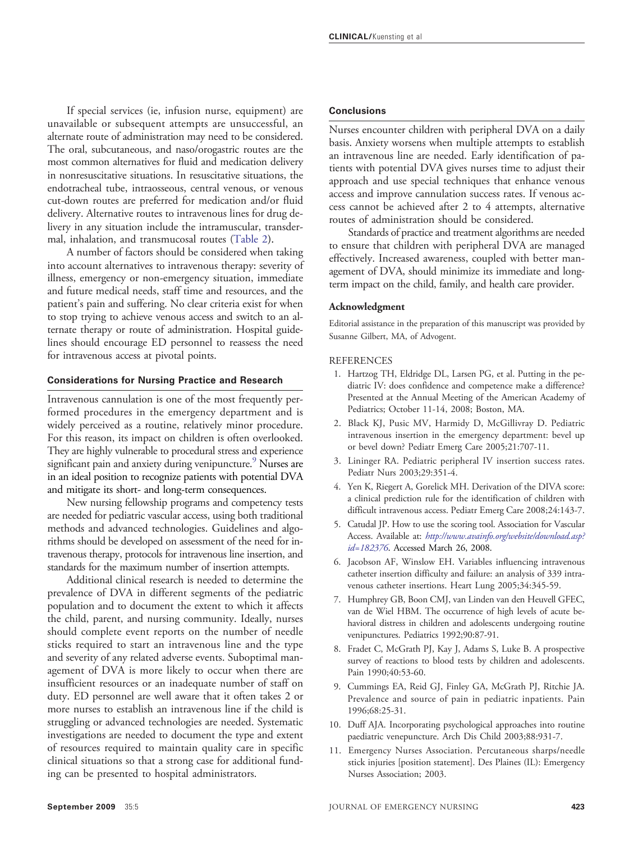<span id="page-4-0"></span>If special services (ie, infusion nurse, equipment) are unavailable or subsequent attempts are unsuccessful, an alternate route of administration may need to be considered. The oral, subcutaneous, and naso/orogastric routes are the most common alternatives for fluid and medication delivery in nonresuscitative situations. In resuscitative situations, the endotracheal tube, intraosseous, central venous, or venous cut-down routes are preferred for medication and/or fluid delivery. Alternative routes to intravenous lines for drug delivery in any situation include the intramuscular, transdermal, inhalation, and transmucosal routes [\(Table 2\)](#page-3-0).

A number of factors should be considered when taking into account alternatives to intravenous therapy: severity of illness, emergency or non-emergency situation, immediate and future medical needs, staff time and resources, and the patient's pain and suffering. No clear criteria exist for when to stop trying to achieve venous access and switch to an alternate therapy or route of administration. Hospital guidelines should encourage ED personnel to reassess the need for intravenous access at pivotal points.

### Considerations for Nursing Practice and Research

Intravenous cannulation is one of the most frequently performed procedures in the emergency department and is widely perceived as a routine, relatively minor procedure. For this reason, its impact on children is often overlooked. They are highly vulnerable to procedural stress and experience significant pain and anxiety during venipuncture.<sup>9</sup> Nurses are in an ideal position to recognize patients with potential DVA and mitigate its short- and long-term consequences.

New nursing fellowship programs and competency tests are needed for pediatric vascular access, using both traditional methods and advanced technologies. Guidelines and algorithms should be developed on assessment of the need for intravenous therapy, protocols for intravenous line insertion, and standards for the maximum number of insertion attempts.

Additional clinical research is needed to determine the prevalence of DVA in different segments of the pediatric population and to document the extent to which it affects the child, parent, and nursing community. Ideally, nurses should complete event reports on the number of needle sticks required to start an intravenous line and the type and severity of any related adverse events. Suboptimal management of DVA is more likely to occur when there are insufficient resources or an inadequate number of staff on duty. ED personnel are well aware that it often takes 2 or more nurses to establish an intravenous line if the child is struggling or advanced technologies are needed. Systematic investigations are needed to document the type and extent of resources required to maintain quality care in specific clinical situations so that a strong case for additional funding can be presented to hospital administrators.

#### Conclusions

Nurses encounter children with peripheral DVA on a daily basis. Anxiety worsens when multiple attempts to establish an intravenous line are needed. Early identification of patients with potential DVA gives nurses time to adjust their approach and use special techniques that enhance venous access and improve cannulation success rates. If venous access cannot be achieved after 2 to 4 attempts, alternative routes of administration should be considered.

Standards of practice and treatment algorithms are needed to ensure that children with peripheral DVA are managed effectively. Increased awareness, coupled with better management of DVA, should minimize its immediate and longterm impact on the child, family, and health care provider.

# Acknowledgment

Editorial assistance in the preparation of this manuscript was provided by Susanne Gilbert, MA, of Advogent.

# **REFERENCES**

- 1. Hartzog TH, Eldridge DL, Larsen PG, et al. Putting in the pediatric IV: does confidence and competence make a difference? Presented at the Annual Meeting of the American Academy of Pediatrics; October 11-14, 2008; Boston, MA.
- 2. Black KJ, Pusic MV, Harmidy D, McGillivray D. Pediatric intravenous insertion in the emergency department: bevel up or bevel down? Pediatr Emerg Care 2005;21:707-11.
- 3. Lininger RA. Pediatric peripheral IV insertion success rates. Pediatr Nurs 2003;29:351-4.
- 4. Yen K, Riegert A, Gorelick MH. Derivation of the DIVA score: a clinical prediction rule for the identification of children with difficult intravenous access. Pediatr Emerg Care 2008;24:143-7.
- 5. Catudal JP. How to use the scoring tool. Association for Vascular Access. Available at: [http://www.avainfo.org/website/download.asp?](http://www.avainfo.org/website/download.asp?id=182376) [id=182376](http://www.avainfo.org/website/download.asp?id=182376). Accessed March 26, 2008.
- 6. Jacobson AF, Winslow EH. Variables influencing intravenous catheter insertion difficulty and failure: an analysis of 339 intravenous catheter insertions. Heart Lung 2005;34:345-59.
- 7. Humphrey GB, Boon CMJ, van Linden van den Heuvell GFEC, van de Wiel HBM. The occurrence of high levels of acute behavioral distress in children and adolescents undergoing routine venipunctures. Pediatrics 1992;90:87-91.
- 8. Fradet C, McGrath PJ, Kay J, Adams S, Luke B. A prospective survey of reactions to blood tests by children and adolescents. Pain 1990;40:53-60.
- 9. Cummings EA, Reid GJ, Finley GA, McGrath PJ, Ritchie JA. Prevalence and source of pain in pediatric inpatients. Pain 1996;68:25-31.
- 10. Duff AJA. Incorporating psychological approaches into routine paediatric venepuncture. Arch Dis Child 2003;88:931-7.
- 11. Emergency Nurses Association. Percutaneous sharps/needle stick injuries [position statement]. Des Plaines (IL): Emergency Nurses Association; 2003.